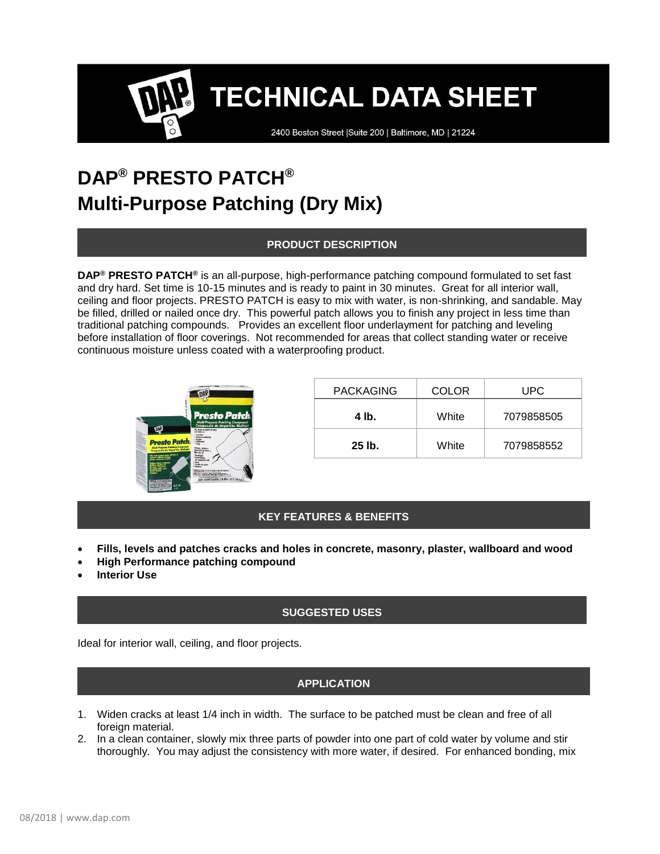**TECHNICAL DATA SHEET** 

2400 Boston Street | Suite 200 | Baltimore, MD | 21224

# **DAP® PRESTO PATCH® Multi-Purpose Patching (Dry Mix)**

# **PRODUCT DESCRIPTION**

**DAP® PRESTO PATCH®** is an all-purpose, high-performance patching compound formulated to set fast and dry hard. Set time is 10-15 minutes and is ready to paint in 30 minutes. Great for all interior wall, ceiling and floor projects. PRESTO PATCH is easy to mix with water, is non-shrinking, and sandable. May be filled, drilled or nailed once dry. This powerful patch allows you to finish any project in less time than traditional patching compounds. Provides an excellent floor underlayment for patching and leveling before installation of floor coverings. Not recommended for areas that collect standing water or receive continuous moisture unless coated with a waterproofing product.



| <b>PACKAGING</b> | COLOR | UPC        |
|------------------|-------|------------|
| 4 lb.            | White | 7079858505 |
| $25$ lb.         | White | 7079858552 |

# **KEY FEATURES & BENEFITS**

- **Fills, levels and patches cracks and holes in concrete, masonry, plaster, wallboard and wood**
- **High Performance patching compound**
- **Interior Use**

# **SUGGESTED USES**

Ideal for interior wall, ceiling, and floor projects.

#### **APPLICATION**

- 1. Widen cracks at least 1/4 inch in width. The surface to be patched must be clean and free of all foreign material.
- 2. In a clean container, slowly mix three parts of powder into one part of cold water by volume and stir thoroughly. You may adjust the consistency with more water, if desired. For enhanced bonding, mix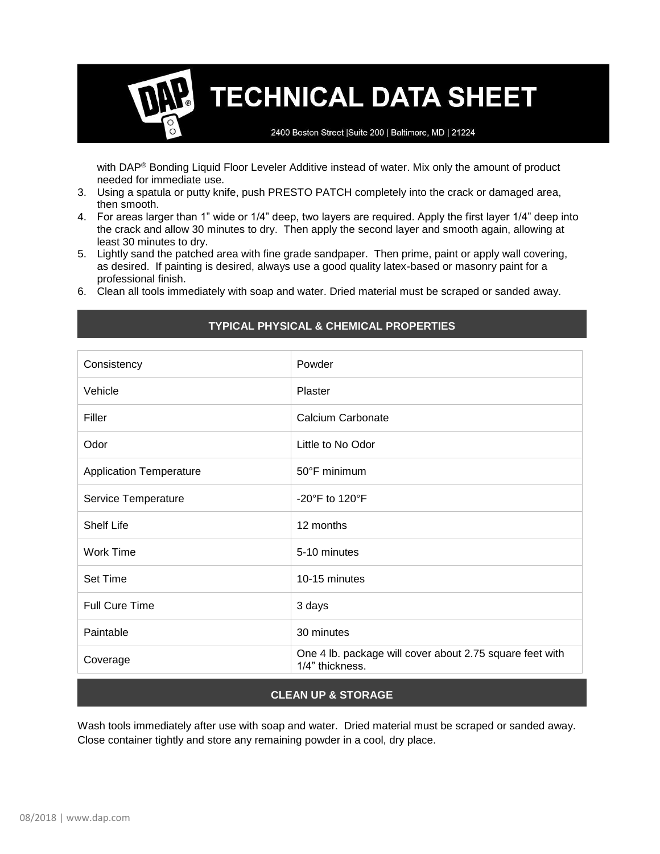# **TECHNICAL DATA SHEET**

2400 Boston Street | Suite 200 | Baltimore, MD | 21224

with DAP® Bonding Liquid Floor Leveler Additive instead of water. Mix only the amount of product needed for immediate use.

- 3. Using a spatula or putty knife, push PRESTO PATCH completely into the crack or damaged area, then smooth.
- 4. For areas larger than 1" wide or 1/4" deep, two layers are required. Apply the first layer 1/4" deep into the crack and allow 30 minutes to dry. Then apply the second layer and smooth again, allowing at least 30 minutes to dry.
- 5. Lightly sand the patched area with fine grade sandpaper. Then prime, paint or apply wall covering, as desired. If painting is desired, always use a good quality latex-based or masonry paint for a professional finish.
- 6. Clean all tools immediately with soap and water. Dried material must be scraped or sanded away.

| Consistency                    | Powder                                                                      |  |
|--------------------------------|-----------------------------------------------------------------------------|--|
| Vehicle                        | Plaster                                                                     |  |
| Filler                         | Calcium Carbonate                                                           |  |
| Odor                           | Little to No Odor                                                           |  |
| <b>Application Temperature</b> | 50°F minimum                                                                |  |
| Service Temperature            | -20 $\degree$ F to 120 $\degree$ F                                          |  |
| <b>Shelf Life</b>              | 12 months                                                                   |  |
| <b>Work Time</b>               | 5-10 minutes                                                                |  |
| <b>Set Time</b>                | 10-15 minutes                                                               |  |
| <b>Full Cure Time</b>          | 3 days                                                                      |  |
| Paintable                      | 30 minutes                                                                  |  |
| Coverage                       | One 4 lb. package will cover about 2.75 square feet with<br>1/4" thickness. |  |

# **TYPICAL PHYSICAL & CHEMICAL PROPERTIES**

# **CLEAN UP & STORAGE**

Wash tools immediately after use with soap and water. Dried material must be scraped or sanded away. Close container tightly and store any remaining powder in a cool, dry place.